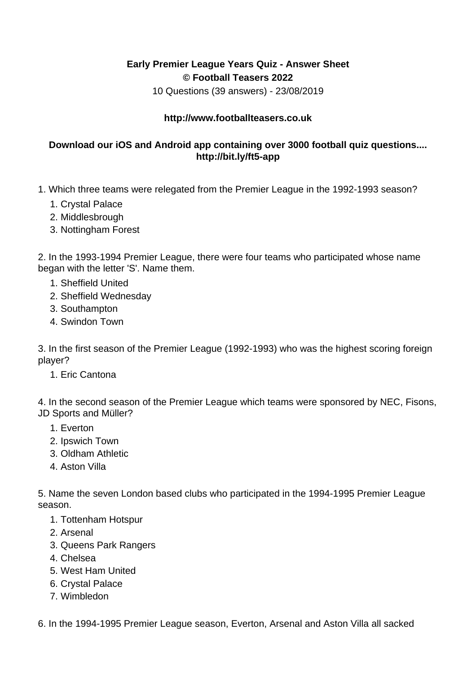## **Early Premier League Years Quiz - Answer Sheet © Football Teasers 2022**

10 Questions (39 answers) - 23/08/2019

## **http://www.footballteasers.co.uk**

## **Download our iOS and Android app containing over 3000 football quiz questions.... http://bit.ly/ft5-app**

- 1. Which three teams were relegated from the Premier League in the 1992-1993 season?
	- 1. Crystal Palace
	- 2. Middlesbrough
	- 3. Nottingham Forest

2. In the 1993-1994 Premier League, there were four teams who participated whose name began with the letter 'S'. Name them.

- 1. Sheffield United
- 2. Sheffield Wednesday
- 3. Southampton
- 4. Swindon Town

3. In the first season of the Premier League (1992-1993) who was the highest scoring foreign player?

1. Eric Cantona

4. In the second season of the Premier League which teams were sponsored by NEC, Fisons, JD Sports and Müller?

- 1. Everton
- 2. Ipswich Town
- 3. Oldham Athletic
- 4. Aston Villa

5. Name the seven London based clubs who participated in the 1994-1995 Premier League season.

- 1. Tottenham Hotspur
- 2. Arsenal
- 3. Queens Park Rangers
- 4. Chelsea
- 5. West Ham United
- 6. Crystal Palace
- 7. Wimbledon

6. In the 1994-1995 Premier League season, Everton, Arsenal and Aston Villa all sacked